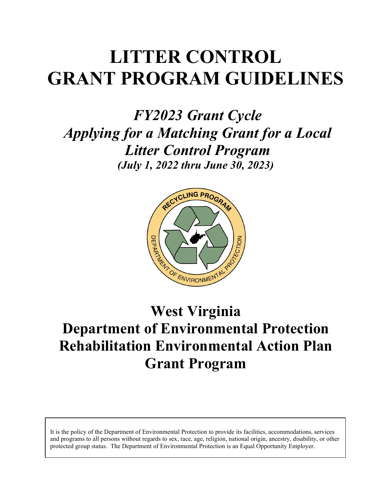# **LITTER CONTROL GRANT PROGRAM GUIDELINES**

*FY2023 Grant Cycle Applying for a Matching Grant for a Local Litter Control Program (July 1, 2022 thru June 30, 2023)* 



## **West Virginia Department of Environmental Protection Rehabilitation Environmental Action Plan Grant Program**

It is the policy of the Department of Environmental Protection to provide its facilities, accommodations, services and programs to all persons without regards to sex, race, age, religion, national origin, ancestry, disability, or other protected group status. The Department of Environmental Protection is an Equal Opportunity Employer.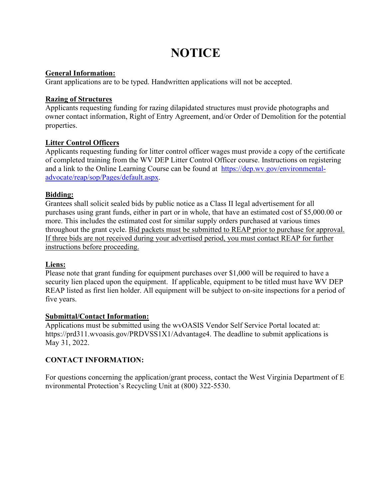## **NOTICE**

#### **General Information:**

Grant applications are to be typed. Handwritten applications will not be accepted.

#### **Razing of Structures**

Applicants requesting funding for razing dilapidated structures must provide photographs and owner contact information, Right of Entry Agreement, and/or Order of Demolition for the potential properties.

#### **Litter Control Officers**

Applicants requesting funding for litter control officer wages must provide a copy of the certificate of completed training from the WV DEP Litter Control Officer course. Instructions on registering and a link to the Online Learning Course can be found at [https://dep.wv.gov/environmental](https://dep.wv.gov/environmental-advocate/reap/sop/Pages/default.aspx)[advocate/reap/sop/Pages/default.aspx.](https://dep.wv.gov/environmental-advocate/reap/sop/Pages/default.aspx)

#### **Bidding:**

Grantees shall solicit sealed bids by public notice as a Class II legal advertisement for all purchases using grant funds, either in part or in whole, that have an estimated cost of \$5,000.00 or more. This includes the estimated cost for similar supply orders purchased at various times throughout the grant cycle. Bid packets must be submitted to REAP prior to purchase for approval. If three bids are not received during your advertised period, you must contact REAP for further instructions before proceeding.

#### **Liens:**

Please note that grant funding for equipment purchases over \$1,000 will be required to have a security lien placed upon the equipment. If applicable, equipment to be titled must have WV DEP REAP listed as first lien holder. All equipment will be subject to on-site inspections for a period of five years.

#### **Submittal/Contact Information:**

Applications must be submitted using the wvOASIS Vendor Self Service Portal located at: https://prd311.wvoasis.gov/PRDVSS1X1/Advantage4. The deadline to submit applications is May 31, 2022.

#### **CONTACT INFORMATION:**

For questions concerning the application/grant process, contact the West Virginia Department of E nvironmental Protection's Recycling Unit at (800) 322-5530.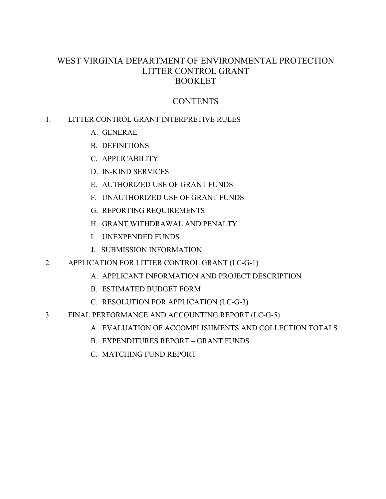### WEST VIRGINIA DEPARTMENT OF ENVIRONMENTAL PROTECTION LITTER CONTROL GRANT **BOOKLET**

## CONTENTS

### 1. LITTER CONTROL GRANT INTERPRETIVE RULES

- A. GENERAL
- B. DEFINITIONS
- C. APPLICABILITY
- D. IN-KIND SERVICES
- E. AUTHORIZED USE OF GRANT FUNDS
- F. UNAUTHORIZED USE OF GRANT FUNDS
- G. REPORTING REQUIREMENTS
- H. GRANT WITHDRAWAL AND PENALTY
- I. UNEXPENDED FUNDS
- J. SUBMISSION INFORMATION
- 2. APPLICATION FOR LITTER CONTROL GRANT (LC-G-1)
	- A. APPLICANT INFORMATION AND PROJECT DESCRIPTION
	- B. ESTIMATED BUDGET FORM
	- C. RESOLUTION FOR APPLICATION (LC-G-3)
- 3. FINAL PERFORMANCE AND ACCOUNTING REPORT (LC-G-5)
	- A. EVALUATION OF ACCOMPLISHMENTS AND COLLECTION TOTALS
	- B. EXPENDITURES REPORT GRANT FUNDS
	- C. MATCHING FUND REPORT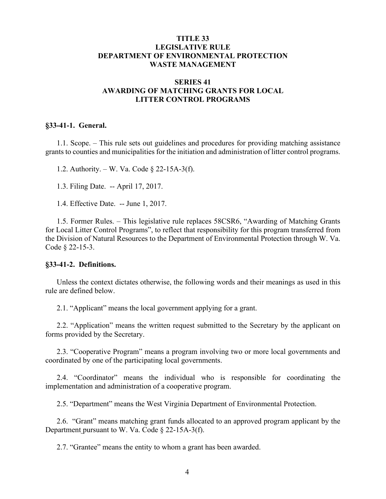#### **TITLE 33 LEGISLATIVE RULE DEPARTMENT OF ENVIRONMENTAL PROTECTION WASTE MANAGEMENT**

#### **SERIES 41 AWARDING OF MATCHING GRANTS FOR LOCAL LITTER CONTROL PROGRAMS**

#### **§33-41-1. General.**

1.1. Scope. – This rule sets out guidelines and procedures for providing matching assistance grants to counties and municipalities for the initiation and administration of litter control programs.

1.2. Authority. – W. Va. Code § 22-15A-3(f).

1.3. Filing Date. -- April 17, 2017.

1.4. Effective Date. -- June 1, 2017.

1.5. Former Rules. – This legislative rule replaces 58CSR6, "Awarding of Matching Grants for Local Litter Control Programs", to reflect that responsibility for this program transferred from the Division of Natural Resources to the Department of Environmental Protection through W. Va. Code § 22-15-3.

#### **§33-41-2. Definitions.**

Unless the context dictates otherwise, the following words and their meanings as used in this rule are defined below.

2.1. "Applicant" means the local government applying for a grant.

2.2. "Application" means the written request submitted to the Secretary by the applicant on forms provided by the Secretary.

2.3. "Cooperative Program" means a program involving two or more local governments and coordinated by one of the participating local governments.

2.4. "Coordinator" means the individual who is responsible for coordinating the implementation and administration of a cooperative program.

2.5. "Department" means the West Virginia Department of Environmental Protection.

2.6. "Grant" means matching grant funds allocated to an approved program applicant by the Department pursuant to W. Va. Code § 22-15A-3(f).

2.7. "Grantee" means the entity to whom a grant has been awarded.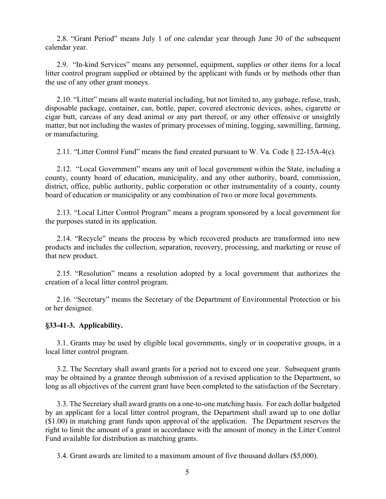2.8. "Grant Period" means July 1 of one calendar year through June 30 of the subsequent calendar year.

2.9. "In-kind Services" means any personnel, equipment, supplies or other items for a local litter control program supplied or obtained by the applicant with funds or by methods other than the use of any other grant moneys.

2.10. "Litter" means all waste material including, but not limited to, any garbage, refuse, trash, disposable package, container, can, bottle, paper, covered electronic devices, ashes, cigarette or cigar butt, carcass of any dead animal or any part thereof, or any other offensive or unsightly matter, but not including the wastes of primary processes of mining, logging, sawmilling, farming, or manufacturing.

2.11. "Litter Control Fund" means the fund created pursuant to W. Va. Code § 22-15A-4(c).

2.12. "Local Government" means any unit of local government within the State, including a county, county board of education, municipality, and any other authority, board, commission, district, office, public authority, public corporation or other instrumentality of a county, county board of education or municipality or any combination of two or more local governments.

2.13. "Local Litter Control Program" means a program sponsored by a local government for the purposes stated in its application.

2.14. "Recycle" means the process by which recovered products are transformed into new products and includes the collection, separation, recovery, processing, and marketing or reuse of that new product.

2.15. "Resolution" means a resolution adopted by a local government that authorizes the creation of a local litter control program.

2.16. "Secretary" means the Secretary of the Department of Environmental Protection or his or her designee.

#### **§33-41-3. Applicability.**

3.1. Grants may be used by eligible local governments, singly or in cooperative groups, in a local litter control program.

3.2. The Secretary shall award grants for a period not to exceed one year. Subsequent grants may be obtained by a grantee through submission of a revised application to the Department, so long as all objectives of the current grant have been completed to the satisfaction of the Secretary.

3.3. The Secretary shall award grants on a one-to-one matching basis. For each dollar budgeted by an applicant for a local litter control program, the Department shall award up to one dollar (\$1.00) in matching grant funds upon approval of the application. The Department reserves the right to limit the amount of a grant in accordance with the amount of money in the Litter Control Fund available for distribution as matching grants.

3.4. Grant awards are limited to a maximum amount of five thousand dollars (\$5,000).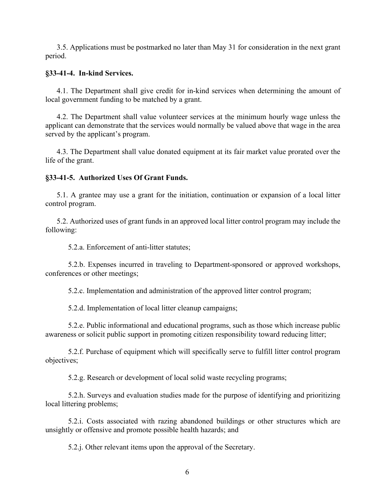3.5. Applications must be postmarked no later than May 31 for consideration in the next grant period.

#### **§33-41-4. In-kind Services.**

4.1. The Department shall give credit for in-kind services when determining the amount of local government funding to be matched by a grant.

4.2. The Department shall value volunteer services at the minimum hourly wage unless the applicant can demonstrate that the services would normally be valued above that wage in the area served by the applicant's program.

4.3. The Department shall value donated equipment at its fair market value prorated over the life of the grant.

#### **§33-41-5. Authorized Uses Of Grant Funds.**

5.1. A grantee may use a grant for the initiation, continuation or expansion of a local litter control program.

5.2. Authorized uses of grant funds in an approved local litter control program may include the following:

5.2.a. Enforcement of anti-litter statutes;

5.2.b. Expenses incurred in traveling to Department-sponsored or approved workshops, conferences or other meetings;

5.2.c. Implementation and administration of the approved litter control program;

5.2.d. Implementation of local litter cleanup campaigns;

5.2.e. Public informational and educational programs, such as those which increase public awareness or solicit public support in promoting citizen responsibility toward reducing litter;

5.2.f. Purchase of equipment which will specifically serve to fulfill litter control program objectives;

5.2.g. Research or development of local solid waste recycling programs;

5.2.h. Surveys and evaluation studies made for the purpose of identifying and prioritizing local littering problems;

5.2.i. Costs associated with razing abandoned buildings or other structures which are unsightly or offensive and promote possible health hazards; and

5.2.j. Other relevant items upon the approval of the Secretary.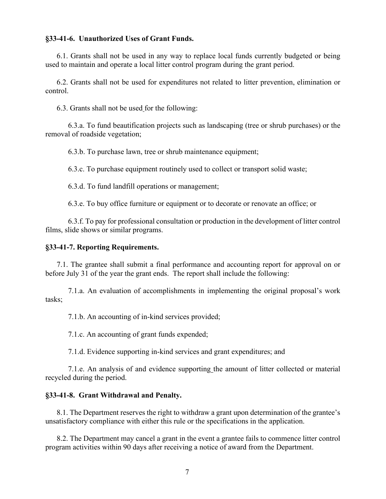#### **§33-41-6. Unauthorized Uses of Grant Funds.**

6.1. Grants shall not be used in any way to replace local funds currently budgeted or being used to maintain and operate a local litter control program during the grant period.

6.2. Grants shall not be used for expenditures not related to litter prevention, elimination or control.

6.3. Grants shall not be used for the following:

6.3.a. To fund beautification projects such as landscaping (tree or shrub purchases) or the removal of roadside vegetation;

6.3.b. To purchase lawn, tree or shrub maintenance equipment;

6.3.c. To purchase equipment routinely used to collect or transport solid waste;

6.3.d. To fund landfill operations or management;

6.3.e. To buy office furniture or equipment or to decorate or renovate an office; or

6.3.f. To pay for professional consultation or production in the development of litter control films, slide shows or similar programs.

#### **§33-41-7. Reporting Requirements.**

7.1. The grantee shall submit a final performance and accounting report for approval on or before July 31 of the year the grant ends. The report shall include the following:

7.1.a. An evaluation of accomplishments in implementing the original proposal's work tasks;

7.1.b. An accounting of in-kind services provided;

7.1.c. An accounting of grant funds expended;

7.1.d. Evidence supporting in-kind services and grant expenditures; and

7.1.e. An analysis of and evidence supporting the amount of litter collected or material recycled during the period.

#### **§33-41-8. Grant Withdrawal and Penalty.**

8.1. The Department reserves the right to withdraw a grant upon determination of the grantee's unsatisfactory compliance with either this rule or the specifications in the application.

8.2. The Department may cancel a grant in the event a grantee fails to commence litter control program activities within 90 days after receiving a notice of award from the Department.